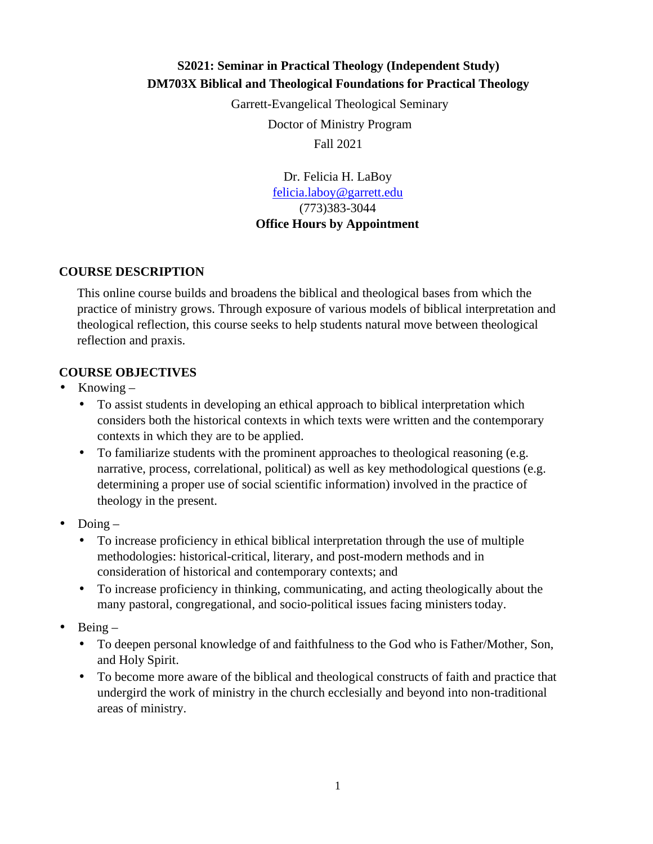# **S2021: Seminar in Practical Theology (Independent Study) DM703X Biblical and Theological Foundations for Practical Theology**

Garrett-Evangelical Theological Seminary Doctor of Ministry Program Fall 2021

> Dr. Felicia H. LaBoy felicia.laboy@garrett.edu (773)383-3044 **Office Hours by Appointment**

### **COURSE DESCRIPTION**

This online course builds and broadens the biblical and theological bases from which the practice of ministry grows. Through exposure of various models of biblical interpretation and theological reflection, this course seeks to help students natural move between theological reflection and praxis.

## **COURSE OBJECTIVES**

- Knowing  $-$ 
	- To assist students in developing an ethical approach to biblical interpretation which considers both the historical contexts in which texts were written and the contemporary contexts in which they are to be applied.
	- To familiarize students with the prominent approaches to theological reasoning (e.g. narrative, process, correlational, political) as well as key methodological questions (e.g. determining a proper use of social scientific information) involved in the practice of theology in the present.
- $\bullet$  Doing
	- To increase proficiency in ethical biblical interpretation through the use of multiple methodologies: historical-critical, literary, and post-modern methods and in consideration of historical and contemporary contexts; and
	- To increase proficiency in thinking, communicating, and acting theologically about the many pastoral, congregational, and socio-political issues facing ministers today.
- $\bullet$  Being
	- To deepen personal knowledge of and faithfulness to the God who is Father/Mother, Son, and Holy Spirit.
	- To become more aware of the biblical and theological constructs of faith and practice that undergird the work of ministry in the church ecclesially and beyond into non-traditional areas of ministry.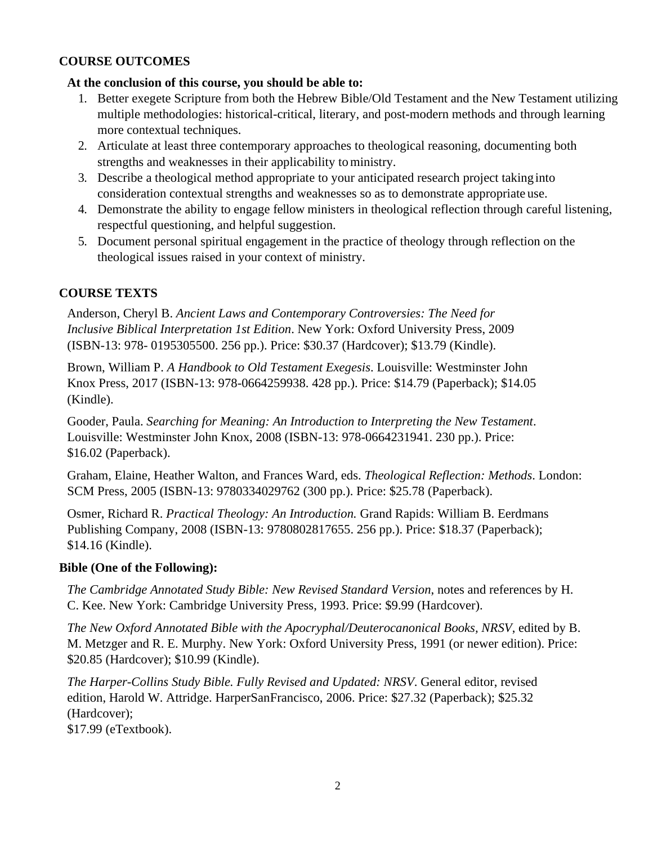### **COURSE OUTCOMES**

### **At the conclusion of this course, you should be able to:**

- 1. Better exegete Scripture from both the Hebrew Bible/Old Testament and the New Testament utilizing multiple methodologies: historical-critical, literary, and post-modern methods and through learning more contextual techniques.
- 2. Articulate at least three contemporary approaches to theological reasoning, documenting both strengths and weaknesses in their applicability to ministry.
- 3. Describe a theological method appropriate to your anticipated research project taking into consideration contextual strengths and weaknesses so as to demonstrate appropriate use.
- 4. Demonstrate the ability to engage fellow ministers in theological reflection through careful listening, respectful questioning, and helpful suggestion.
- 5. Document personal spiritual engagement in the practice of theology through reflection on the theological issues raised in your context of ministry.

## **COURSE TEXTS**

Anderson, Cheryl B. *Ancient Laws and Contemporary Controversies: The Need for Inclusive Biblical Interpretation 1st Edition*. New York: Oxford University Press, 2009 (ISBN-13: 978- 0195305500. 256 pp.). Price: \$30.37 (Hardcover); \$13.79 (Kindle).

Brown, William P. *A Handbook to Old Testament Exegesis*. Louisville: Westminster John Knox Press, 2017 (ISBN-13: 978-0664259938. 428 pp.). Price: \$14.79 (Paperback); \$14.05 (Kindle).

Gooder, Paula. *Searching for Meaning: An Introduction to Interpreting the New Testament*. Louisville: Westminster John Knox, 2008 (ISBN-13: 978-0664231941. 230 pp.). Price: \$16.02 (Paperback).

Graham, Elaine, Heather Walton, and Frances Ward, eds. *Theological Reflection: Methods*. London: SCM Press, 2005 (ISBN-13: 9780334029762 (300 pp.). Price: \$25.78 (Paperback).

Osmer, Richard R. *Practical Theology: An Introduction.* Grand Rapids: William B. Eerdmans Publishing Company, 2008 (ISBN-13: 9780802817655. 256 pp.). Price: \$18.37 (Paperback); \$14.16 (Kindle).

### **Bible (One of the Following):**

*The Cambridge Annotated Study Bible: New Revised Standard Version*, notes and references by H. C. Kee. New York: Cambridge University Press, 1993. Price: \$9.99 (Hardcover).

*The New Oxford Annotated Bible with the Apocryphal/Deuterocanonical Books, NRSV*, edited by B. M. Metzger and R. E. Murphy. New York: Oxford University Press, 1991 (or newer edition). Price: \$20.85 (Hardcover); \$10.99 (Kindle).

*The Harper-Collins Study Bible. Fully Revised and Updated: NRSV*. General editor, revised edition, Harold W. Attridge. HarperSanFrancisco, 2006. Price: \$27.32 (Paperback); \$25.32 (Hardcover);

\$17.99 (eTextbook).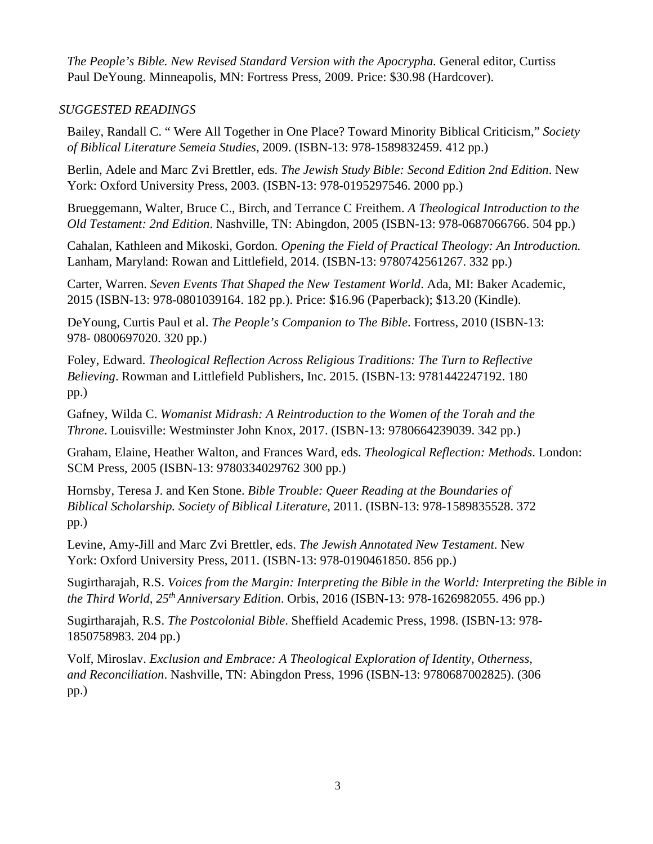*The People's Bible. New Revised Standard Version with the Apocrypha. General editor, Curtiss* Paul DeYoung. Minneapolis, MN: Fortress Press, 2009. Price: \$30.98 (Hardcover).

## *SUGGESTED READINGS*

Bailey, Randall C. " Were All Together in One Place? Toward Minority Biblical Criticism," *Society of Biblical Literature Semeia Studies*, 2009. (ISBN-13: 978-1589832459. 412 pp.)

Berlin, Adele and Marc Zvi Brettler, eds. *The Jewish Study Bible: Second Edition 2nd Edition*. New York: Oxford University Press, 2003. (ISBN-13: 978-0195297546. 2000 pp.)

Brueggemann, Walter, Bruce C., Birch, and Terrance C Freithem. *A Theological Introduction to the Old Testament: 2nd Edition*. Nashville, TN: Abingdon, 2005 (ISBN-13: 978-0687066766. 504 pp.)

Cahalan, Kathleen and Mikoski, Gordon. *Opening the Field of Practical Theology: An Introduction.*  Lanham, Maryland: Rowan and Littlefield, 2014. (ISBN-13: 9780742561267. 332 pp.)

Carter, Warren. *Seven Events That Shaped the New Testament World*. Ada, MI: Baker Academic, 2015 (ISBN-13: 978-0801039164. 182 pp.). Price: \$16.96 (Paperback); \$13.20 (Kindle).

DeYoung, Curtis Paul et al. *The People's Companion to The Bible*. Fortress, 2010 (ISBN-13: 978- 0800697020. 320 pp.)

Foley, Edward. *Theological Reflection Across Religious Traditions: The Turn to Reflective Believing*. Rowman and Littlefield Publishers, Inc. 2015. (ISBN-13: 9781442247192. 180 pp.)

Gafney, Wilda C. *Womanist Midrash: A Reintroduction to the Women of the Torah and the Throne*. Louisville: Westminster John Knox, 2017. (ISBN-13: 9780664239039. 342 pp.)

Graham, Elaine, Heather Walton, and Frances Ward, eds. *Theological Reflection: Methods*. London: SCM Press, 2005 (ISBN-13: 9780334029762 300 pp.)

Hornsby, Teresa J. and Ken Stone. *Bible Trouble: Queer Reading at the Boundaries of Biblical Scholarship. Society of Biblical Literature*, 2011. (ISBN-13: 978-1589835528. 372 pp.)

Levine, Amy-Jill and Marc Zvi Brettler, eds. *The Jewish Annotated New Testament*. New York: Oxford University Press, 2011. (ISBN-13: 978-0190461850. 856 pp.)

Sugirtharajah, R.S. *Voices from the Margin: Interpreting the Bible in the World: Interpreting the Bible in the Third World, 25th Anniversary Edition*. Orbis, 2016 (ISBN-13: 978-1626982055. 496 pp.)

Sugirtharajah, R.S. *The Postcolonial Bible*. Sheffield Academic Press, 1998. (ISBN-13: 978- 1850758983. 204 pp.)

Volf, Miroslav. *Exclusion and Embrace: A Theological Exploration of Identity, Otherness, and Reconciliation*. Nashville, TN: Abingdon Press, 1996 (ISBN-13: 9780687002825). (306 pp.)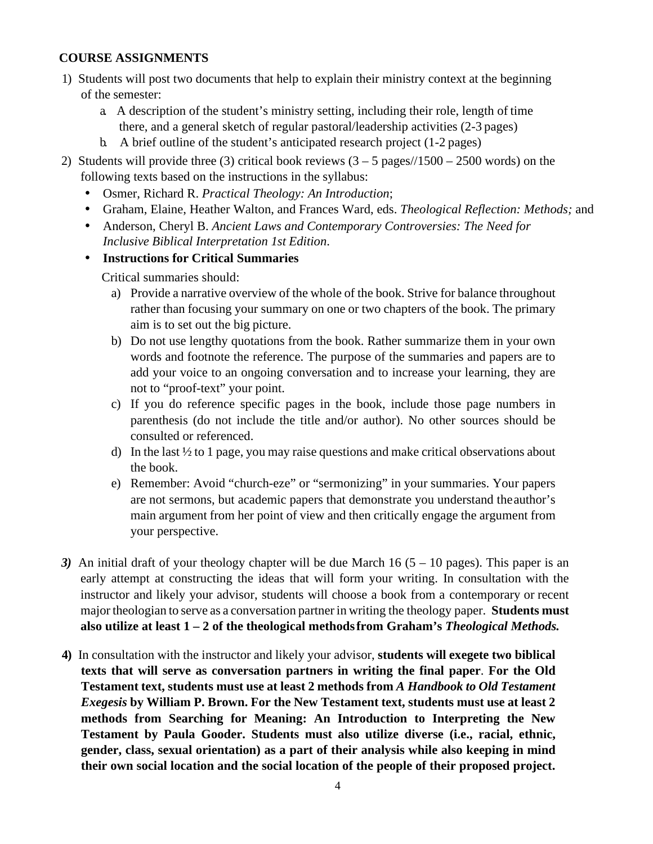## **COURSE ASSIGNMENTS**

- 1) Students will post two documents that help to explain their ministry context at the beginning of the semester:
	- a. A description of the student's ministry setting, including their role, length of time there, and a general sketch of regular pastoral/leadership activities (2-3 pages)
	- b. A brief outline of the student's anticipated research project (1-2 pages)
- 2) Students will provide three (3) critical book reviews  $(3 5$  pages/ $/1500 2500$  words) on the following texts based on the instructions in the syllabus:
	- Osmer, Richard R. *Practical Theology: An Introduction*;
	- Graham, Elaine, Heather Walton, and Frances Ward, eds. *Theological Reflection: Methods;* and
	- Anderson, Cheryl B. *Ancient Laws and Contemporary Controversies: The Need for Inclusive Biblical Interpretation 1st Edition*.

# • **Instructions for Critical Summaries**

Critical summaries should:

- a) Provide a narrative overview of the whole of the book. Strive for balance throughout rather than focusing your summary on one or two chapters of the book. The primary aim is to set out the big picture.
- b) Do not use lengthy quotations from the book. Rather summarize them in your own words and footnote the reference. The purpose of the summaries and papers are to add your voice to an ongoing conversation and to increase your learning, they are not to "proof-text" your point.
- c) If you do reference specific pages in the book, include those page numbers in parenthesis (do not include the title and/or author). No other sources should be consulted or referenced.
- d) In the last ½ to 1 page, you may raise questions and make critical observations about the book.
- e) Remember: Avoid "church-eze" or "sermonizing" in your summaries. Your papers are not sermons, but academic papers that demonstrate you understand the author's main argument from her point of view and then critically engage the argument from your perspective.
- *3*) An initial draft of your theology chapter will be due March 16  $(5 10)$  pages). This paper is an early attempt at constructing the ideas that will form your writing. In consultation with the instructor and likely your advisor, students will choose a book from a contemporary or recent major theologian to serve as a conversation partner in writing the theology paper. **Students must also utilize at least 1 – 2 of the theological methods from Graham's** *Theological Methods.*
- **4)** In consultation with the instructor and likely your advisor, **students will exegete two biblical texts that will serve as conversation partners in writing the final paper**. **For the Old Testament text, students must use at least 2 methods from** *A Handbook to Old Testament Exegesis* **by William P. Brown. For the New Testament text, students must use at least 2 methods from Searching for Meaning: An Introduction to Interpreting the New Testament by Paula Gooder. Students must also utilize diverse (i.e., racial, ethnic, gender, class, sexual orientation) as a part of their analysis while also keeping in mind their own social location and the social location of the people of their proposed project.**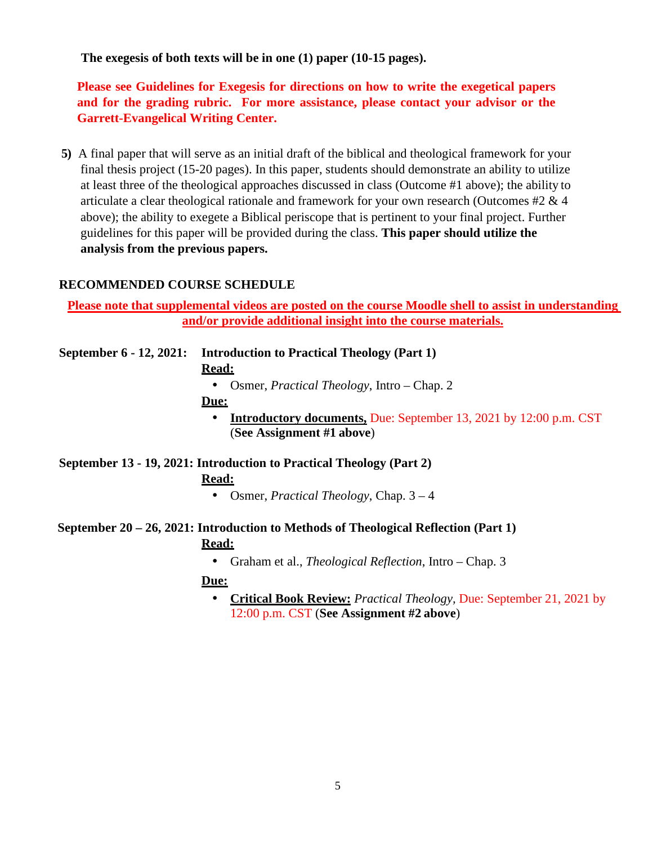**The exegesis of both texts will be in one (1) paper (10-15 pages).** 

**Please see Guidelines for Exegesis for directions on how to write the exegetical papers and for the grading rubric. For more assistance, please contact your advisor or the Garrett-Evangelical Writing Center.** 

**5)** A final paper that will serve as an initial draft of the biblical and theological framework for your final thesis project (15-20 pages). In this paper, students should demonstrate an ability to utilize at least three of the theological approaches discussed in class (Outcome #1 above); the ability to articulate a clear theological rationale and framework for your own research (Outcomes #2 & 4 above); the ability to exegete a Biblical periscope that is pertinent to your final project. Further guidelines for this paper will be provided during the class. **This paper should utilize the analysis from the previous papers.** 

### **RECOMMENDED COURSE SCHEDULE**

**Please note that supplemental videos are posted on the course Moodle shell to assist in understanding and/or provide additional insight into the course materials.** 

**September 6 - 12, 2021: Introduction to Practical Theology (Part 1) Read:**  • Osmer, *Practical Theology*, Intro – Chap. 2 **Due:**  • **Introductory documents,** Due: September 13, 2021 by 12:00 p.m. CST (**See Assignment #1 above**)

**September 13 - 19, 2021: Introduction to Practical Theology (Part 2) Read:** 

• Osmer, *Practical Theology*, Chap. 3 – 4

**September 20 – 26, 2021: Introduction to Methods of Theological Reflection (Part 1) Read:** 

• Graham et al., *Theological Reflection*, Intro – Chap. 3

#### **Due:**

• **Critical Book Review:** *Practical Theology,* Due: September 21, 2021 by 12:00 p.m. CST (**See Assignment #2 above**)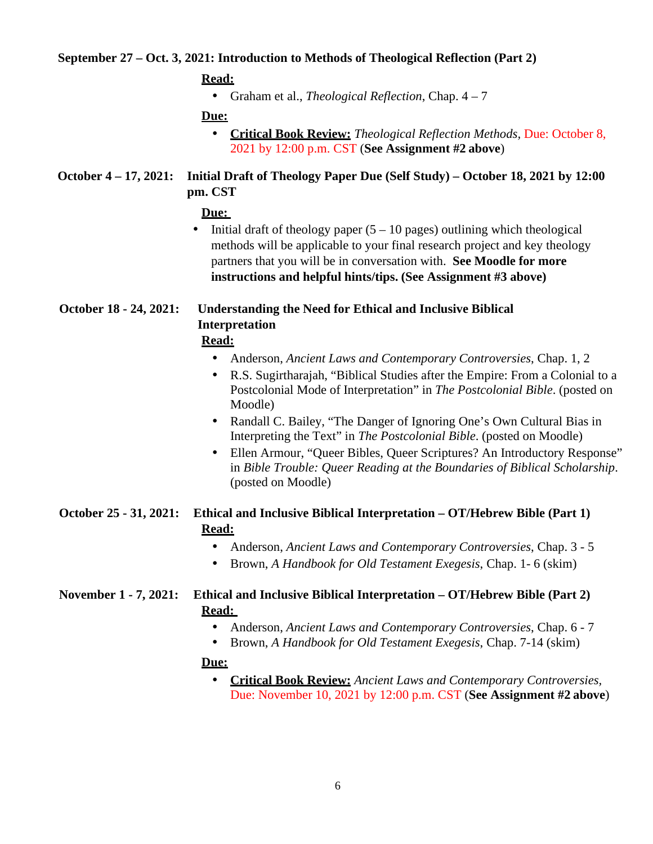### **September 27 – Oct. 3, 2021: Introduction to Methods of Theological Reflection (Part 2)**

|--|

• Graham et al., *Theological Reflection*, Chap. 4 – 7

**Due:** 

• **Critical Book Review:** *Theological Reflection Methods,* Due: October 8, 2021 by 12:00 p.m. CST (**See Assignment #2 above**)

**October 4 – 17, 2021: Initial Draft of Theology Paper Due (Self Study) – October 18, 2021 by 12:00 pm. CST** 

#### **Due:**

• Initial draft of theology paper  $(5 - 10 \text{ pages})$  outlining which theological methods will be applicable to your final research project and key theology partners that you will be in conversation with. **See Moodle for more instructions and helpful hints/tips. (See Assignment #3 above)** 

# **October 18 - 24, 2021: Understanding the Need for Ethical and Inclusive Biblical Interpretation**

## **Read:**

- Anderson, *Ancient Laws and Contemporary Controversies*, Chap. 1, 2
- R.S. Sugirtharajah, "Biblical Studies after the Empire: From a Colonial to a Postcolonial Mode of Interpretation" in *The Postcolonial Bible*. (posted on Moodle)
- Randall C. Bailey, "The Danger of Ignoring One's Own Cultural Bias in Interpreting the Text" in *The Postcolonial Bible*. (posted on Moodle)
- Ellen Armour, "Queer Bibles, Queer Scriptures? An Introductory Response" in *Bible Trouble: Queer Reading at the Boundaries of Biblical Scholarship*. (posted on Moodle)

### **October 25 - 31, 2021: Ethical and Inclusive Biblical Interpretation – OT/Hebrew Bible (Part 1) Read:**

- Anderson, *Ancient Laws and Contemporary Controversies*, Chap. 3 5
- Brown, *A Handbook for Old Testament Exegesis*, Chap. 1- 6 (skim)

### **November 1 - 7, 2021: Ethical and Inclusive Biblical Interpretation – OT/Hebrew Bible (Part 2) Read:**

- Anderson, *Ancient Laws and Contemporary Controversies*, Chap. 6 7
- Brown, *A Handbook for Old Testament Exegesis*, Chap. 7-14 (skim)

#### **Due:**

• **Critical Book Review:** *Ancient Laws and Contemporary Controversies,*  Due: November 10, 2021 by 12:00 p.m. CST (**See Assignment #2 above**)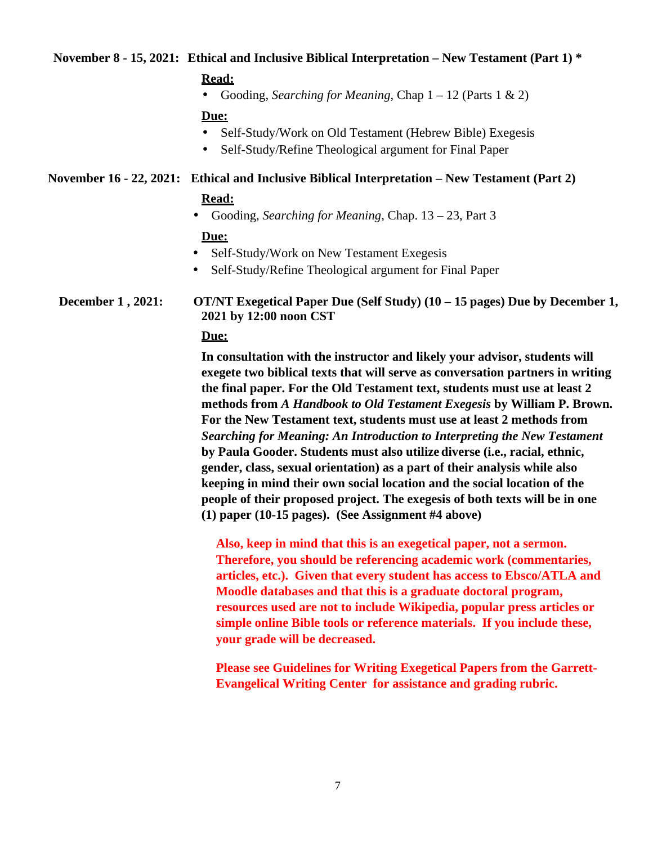### **November 8 - 15, 2021: Ethical and Inclusive Biblical Interpretation – New Testament (Part 1) \***

#### **Read:**

• Gooding, *Searching for Meaning*, Chap 1 – 12 (Parts 1 & 2)

#### **Due:**

- Self-Study/Work on Old Testament (Hebrew Bible) Exegesis
- Self-Study/Refine Theological argument for Final Paper

#### **November 16 - 22, 2021: Ethical and Inclusive Biblical Interpretation – New Testament (Part 2)**

#### **Read:**

• Gooding, *Searching for Meaning*, Chap. 13 – 23, Part 3

#### **Due:**

- Self-Study/Work on New Testament Exegesis
- Self-Study/Refine Theological argument for Final Paper

**December 1 , 2021: OT/NT Exegetical Paper Due (Self Study) (10 – 15 pages) Due by December 1, 2021 by 12:00 noon CST** 

#### **Due:**

**In consultation with the instructor and likely your advisor, students will exegete two biblical texts that will serve as conversation partners in writing the final paper. For the Old Testament text, students must use at least 2 methods from** *A Handbook to Old Testament Exegesis* **by William P. Brown. For the New Testament text, students must use at least 2 methods from**  *Searching for Meaning: An Introduction to Interpreting the New Testament*  **by Paula Gooder. Students must also utilize diverse (i.e., racial, ethnic, gender, class, sexual orientation) as a part of their analysis while also keeping in mind their own social location and the social location of the people of their proposed project. The exegesis of both texts will be in one (1) paper (10-15 pages). (See Assignment #4 above)**

**Also, keep in mind that this is an exegetical paper, not a sermon. Therefore, you should be referencing academic work (commentaries, articles, etc.). Given that every student has access to Ebsco/ATLA and Moodle databases and that this is a graduate doctoral program, resources used are not to include Wikipedia, popular press articles or simple online Bible tools or reference materials. If you include these, your grade will be decreased.** 

**Please see Guidelines for Writing Exegetical Papers from the Garrett-Evangelical Writing Center for assistance and grading rubric.**